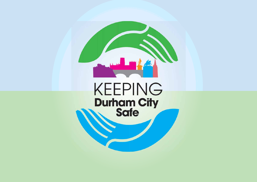# **KEEPING<br>Durham City<br>Safe**

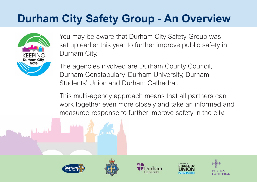# **Durham City Safety Group - An Overview**



You may be aware that Durham City Safety Group was set up earlier this year to further improve public safety in Durham City.

The agencies involved are Durham County Council, Durham Constabulary, Durham University, Durham Students' Union and Durham Cathedral.

This multi-agency approach means that all partners can work together even more closely and take an informed and measured response to further improve safety in the city.









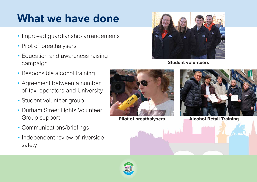## **What we have done**

**Student volunteers** 



#### **Pilot of breathalysers Alcohol Retail Training**

التقليلات

- •• Improved guardianship arrangements
- •Pilot of breathalysers
- • Education and awareness raising campaign
- •• Responsible alcohol training
- • Agreement between a number of taxi operators and University
- •Student volunteer group
- •• Durham Street Lights Volunteer Group support
- •Communications/briefings
- •• Independent review of riverside safety





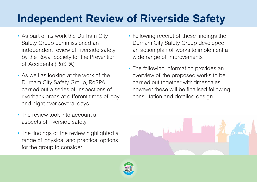# **Independent Review of Riverside Safety**

- As part of its work the Durham City Safety Group commissioned an independent review of riverside safety by the Royal Society for the Prevention of Accidents (RoSPA)
- As well as looking at the work of the Durham City Safety Group, RoSPA carried out a series of inspections of riverbank areas at different times of day and night over several days
- The review took into account all aspects of riverside safety
- The findings of the review highlighted a range of physical and practical options for the group to consider





• Following receipt of these findings the Durham City Safety Group developed an action plan of works to implement a wide range of improvements

• The following information provides an overview of the proposed works to be carried out together with timescales, however these will be finalised following consultation and detailed design.



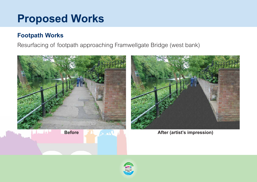### **Proposed Works**

#### **Footpath Works**

#### Resurfacing of footpath approaching Framwellgate Bridge (west bank)





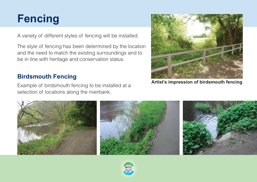



**Artist's impression of birdsmouth fencing**

A variety of different styles of fencing will be installed.

The style of fencing has been determined by the location and the need to match the existing surroundings and to be in line with heritage and conservation status.

#### **Birdsmouth Fencing**

Example of birdsmouth fencing to be installed at a selection of locations along the riverbank.

![](_page_5_Picture_5.jpeg)

![](_page_5_Picture_6.jpeg)

![](_page_5_Picture_7.jpeg)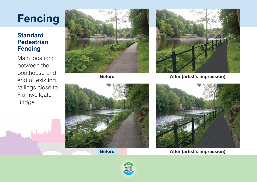#### **Standard Pedestrian Fencing**

Main location: between the boathouse and end of existing railings close to Framwellgate Bridge

![](_page_6_Picture_3.jpeg)

![](_page_6_Picture_5.jpeg)

![](_page_6_Picture_7.jpeg)

# **Fencing**

![](_page_6_Picture_8.jpeg)

**Before After (artist's impression)**

![](_page_6_Picture_10.jpeg)

**Before After (artist's impression)**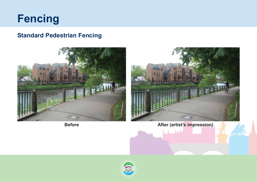![](_page_7_Picture_0.jpeg)

#### **Standard Pedestrian Fencing**

![](_page_7_Picture_2.jpeg)

![](_page_7_Picture_4.jpeg)

![](_page_7_Picture_5.jpeg)

#### **Before After (artist's impression)**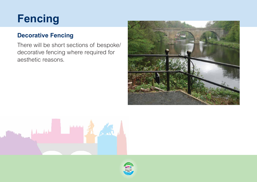![](_page_8_Picture_0.jpeg)

#### **Decorative Fencing**

There will be short sections of bespoke/ decorative fencing where required for aesthetic reasons.

![](_page_8_Picture_3.jpeg)

![](_page_8_Picture_4.jpeg)

![](_page_8_Picture_5.jpeg)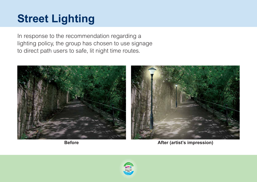# **Street Lighting**

In response to the recommendation regarding a lighting policy, the group has chosen to use signage to direct path users to safe, lit night time routes.

![](_page_9_Picture_2.jpeg)

![](_page_9_Picture_3.jpeg)

![](_page_9_Picture_4.jpeg)

![](_page_9_Picture_5.jpeg)

**Before After (artist's impression)**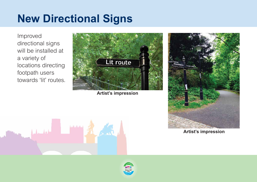## **New Directional Signs**

Improved directional signs will be installed at a variety of locations directing footpath users towards 'lit' routes.

**Artist's impression**

![](_page_10_Picture_2.jpeg)

**Artist's impression**

![](_page_10_Picture_4.jpeg)

![](_page_10_Picture_5.jpeg)

![](_page_10_Picture_6.jpeg)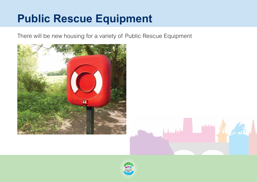#### There will be new housing for a variety of Public Rescue Equipment

![](_page_11_Picture_2.jpeg)

![](_page_11_Picture_3.jpeg)

![](_page_11_Picture_4.jpeg)

![](_page_11_Picture_5.jpeg)

## **Public Rescue Equipment**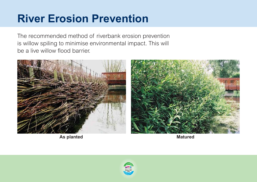The recommended method of riverbank erosion prevention is willow spiling to minimise environmental impact. This will be a live willow flood barrier.

![](_page_12_Picture_2.jpeg)

## **River Erosion Prevention**

**As planted Matured**

![](_page_12_Picture_4.jpeg)

![](_page_12_Picture_5.jpeg)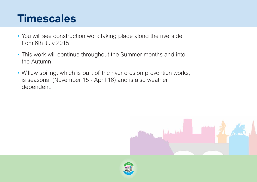### **Timescales**

- You will see construction work taking place along the riverside from 6th July 2015.
- This work will continue throughout the Summer months and into the Autumn
- Willow spiling, which is part of the river erosion prevention works, is seasonal (November 15 - April 16) and is also weather dependent.

![](_page_13_Picture_4.jpeg)

![](_page_13_Picture_8.jpeg)